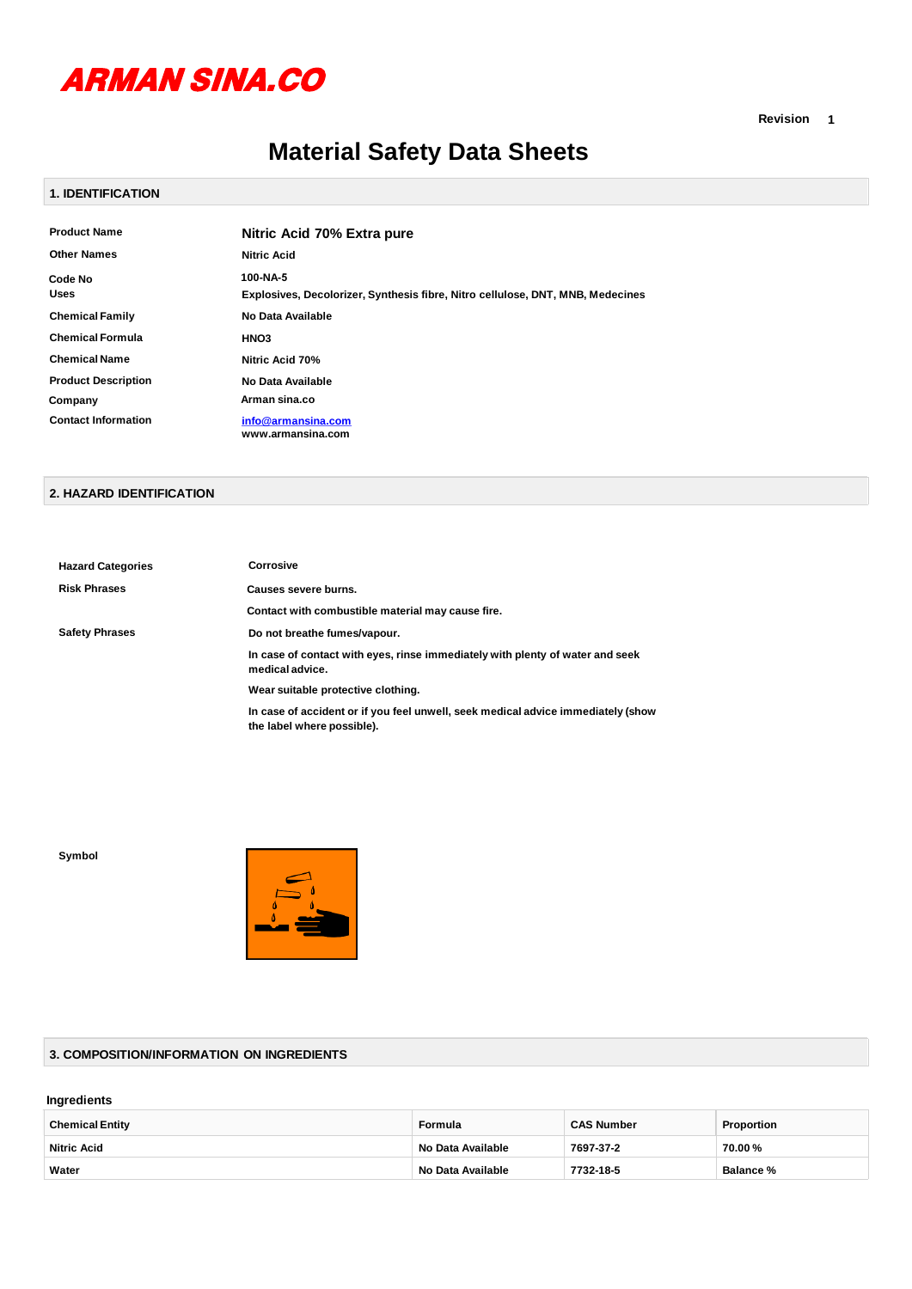

**Revision 1**

# **Material Safety Data Sheets**

#### **1. IDENTIFICATION**

| <b>Product Name</b>        | Nitric Acid 70% Extra pure                                                     |
|----------------------------|--------------------------------------------------------------------------------|
| <b>Other Names</b>         | <b>Nitric Acid</b>                                                             |
| Code No                    | 100-NA-5                                                                       |
| Uses                       | Explosives, Decolorizer, Synthesis fibre, Nitro cellulose, DNT, MNB, Medecines |
| <b>Chemical Family</b>     | No Data Available                                                              |
| <b>Chemical Formula</b>    | HNO <sub>3</sub>                                                               |
| <b>Chemical Name</b>       | Nitric Acid 70%                                                                |
| <b>Product Description</b> | No Data Available                                                              |
| Company                    | Arman sina.co                                                                  |
| <b>Contact Information</b> | info@armansina.com<br>www.armansina.com                                        |

#### **2. HAZARD IDENTIFICATION**

| <b>Hazard Categories</b> | Corrosive                                                                                                      |
|--------------------------|----------------------------------------------------------------------------------------------------------------|
| <b>Risk Phrases</b>      | Causes severe burns.                                                                                           |
|                          | Contact with combustible material may cause fire.                                                              |
| <b>Safety Phrases</b>    | Do not breathe fumes/vapour.                                                                                   |
|                          | In case of contact with eyes, rinse immediately with plenty of water and seek<br>medical advice.               |
|                          | Wear suitable protective clothing.                                                                             |
|                          | In case of accident or if you feel unwell, seek medical advice immediately (show<br>the label where possible). |

**Symbol**



## **3. COMPOSITION/INFORMATION ON INGREDIENTS**

#### **Ingredients**

| <b>Chemical Entity</b> | Formula           | <b>CAS Number</b> | Proportion       |
|------------------------|-------------------|-------------------|------------------|
| <b>Nitric Acid</b>     | No Data Available | 7697-37-2         | 70.00 %          |
| Water                  | No Data Available | 7732-18-5         | <b>Balance</b> % |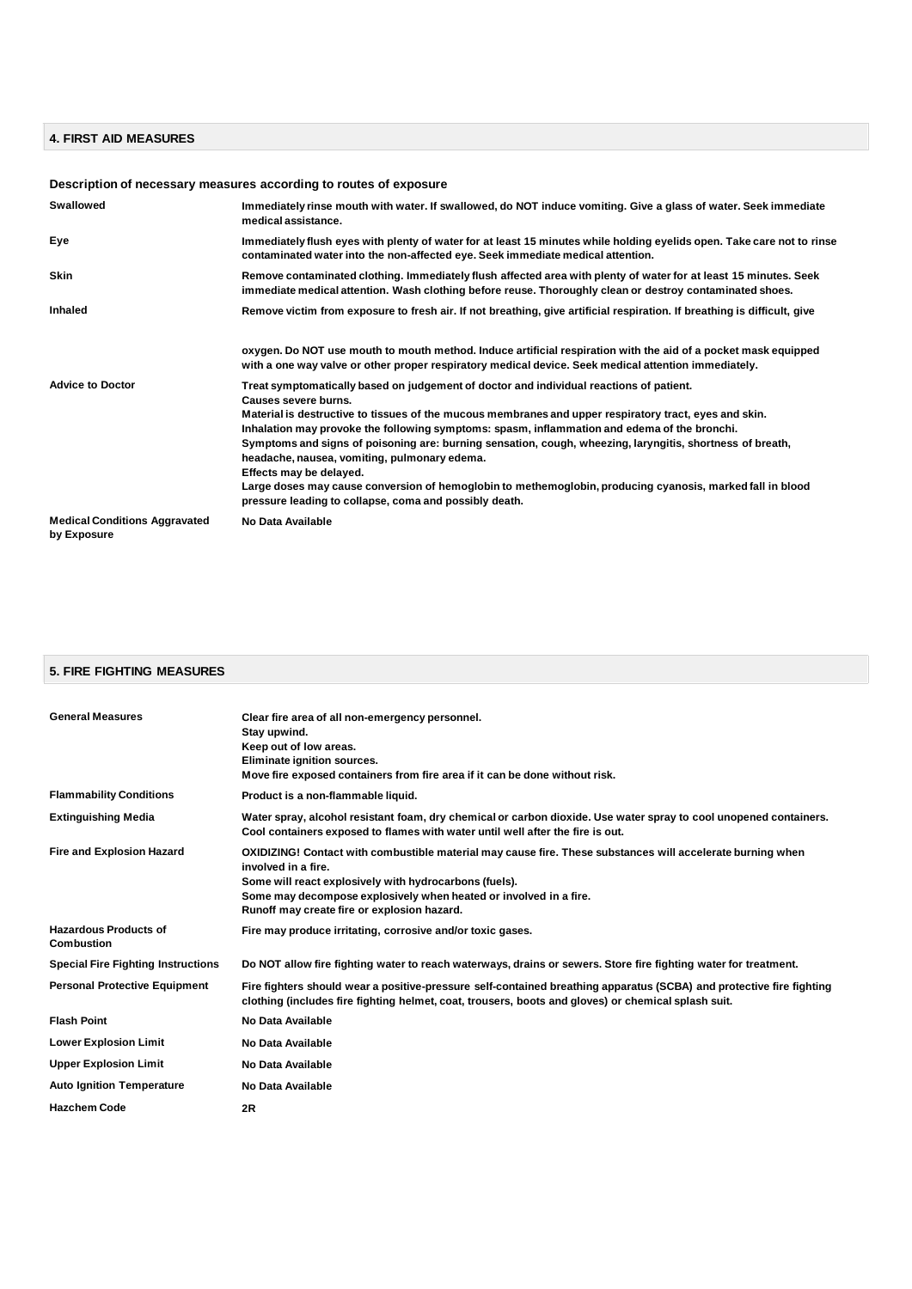# **4. FIRST AID MEASURES**

# **Description of necessary measures according to routes of exposure**

| Swallowed                                           | Immediately rinse mouth with water. If swallowed, do NOT induce vomiting. Give a glass of water. Seek immediate<br>medical assistance.                                                                                                                                                                                                                                                                                                                                                                                                                                                                                                                                                   |
|-----------------------------------------------------|------------------------------------------------------------------------------------------------------------------------------------------------------------------------------------------------------------------------------------------------------------------------------------------------------------------------------------------------------------------------------------------------------------------------------------------------------------------------------------------------------------------------------------------------------------------------------------------------------------------------------------------------------------------------------------------|
| Eye                                                 | Immediately flush eyes with plenty of water for at least 15 minutes while holding eyelids open. Take care not to rinse<br>contaminated water into the non-affected eye. Seek immediate medical attention.                                                                                                                                                                                                                                                                                                                                                                                                                                                                                |
| <b>Skin</b>                                         | Remove contaminated clothing. Immediately flush affected area with plenty of water for at least 15 minutes. Seek<br>immediate medical attention. Wash clothing before reuse. Thoroughly clean or destroy contaminated shoes.                                                                                                                                                                                                                                                                                                                                                                                                                                                             |
| Inhaled                                             | Remove victim from exposure to fresh air. If not breathing, give artificial respiration. If breathing is difficult, give                                                                                                                                                                                                                                                                                                                                                                                                                                                                                                                                                                 |
|                                                     | oxygen. Do NOT use mouth to mouth method. Induce artificial respiration with the aid of a pocket mask equipped<br>with a one way valve or other proper respiratory medical device. Seek medical attention immediately.                                                                                                                                                                                                                                                                                                                                                                                                                                                                   |
| <b>Advice to Doctor</b>                             | Treat symptomatically based on judgement of doctor and individual reactions of patient.<br>Causes severe burns.<br>Material is destructive to tissues of the mucous membranes and upper respiratory tract, eyes and skin.<br>Inhalation may provoke the following symptoms: spasm, inflammation and edema of the bronchi.<br>Symptoms and signs of poisoning are: burning sensation, cough, wheezing, laryngitis, shortness of breath,<br>headache, nausea, vomiting, pulmonary edema.<br>Effects may be delayed.<br>Large doses may cause conversion of hemoglobin to methemoglobin, producing cyanosis, marked fall in blood<br>pressure leading to collapse, coma and possibly death. |
| <b>Medical Conditions Aggravated</b><br>by Exposure | No Data Available                                                                                                                                                                                                                                                                                                                                                                                                                                                                                                                                                                                                                                                                        |

# **5. FIRE FIGHTING MEASURES**

| <b>General Measures</b>                           | Clear fire area of all non-emergency personnel.<br>Stay upwind.<br>Keep out of low areas.<br>Eliminate ignition sources.<br>Move fire exposed containers from fire area if it can be done without risk.                                                                                                         |
|---------------------------------------------------|-----------------------------------------------------------------------------------------------------------------------------------------------------------------------------------------------------------------------------------------------------------------------------------------------------------------|
| <b>Flammability Conditions</b>                    | Product is a non-flammable liquid.                                                                                                                                                                                                                                                                              |
| <b>Extinguishing Media</b>                        | Water spray, alcohol resistant foam, dry chemical or carbon dioxide. Use water spray to cool unopened containers.<br>Cool containers exposed to flames with water until well after the fire is out.                                                                                                             |
| <b>Fire and Explosion Hazard</b>                  | OXIDIZING! Contact with combustible material may cause fire. These substances will accelerate burning when<br>involved in a fire.<br>Some will react explosively with hydrocarbons (fuels).<br>Some may decompose explosively when heated or involved in a fire.<br>Runoff may create fire or explosion hazard. |
| <b>Hazardous Products of</b><br><b>Combustion</b> | Fire may produce irritating, corrosive and/or toxic gases.                                                                                                                                                                                                                                                      |
| <b>Special Fire Fighting Instructions</b>         | Do NOT allow fire fighting water to reach waterways, drains or sewers. Store fire fighting water for treatment.                                                                                                                                                                                                 |
| <b>Personal Protective Equipment</b>              | Fire fighters should wear a positive-pressure self-contained breathing apparatus (SCBA) and protective fire fighting<br>clothing (includes fire fighting helmet, coat, trousers, boots and gloves) or chemical splash suit.                                                                                     |
| <b>Flash Point</b>                                | No Data Available                                                                                                                                                                                                                                                                                               |
| <b>Lower Explosion Limit</b>                      | No Data Available                                                                                                                                                                                                                                                                                               |
| <b>Upper Explosion Limit</b>                      | No Data Available                                                                                                                                                                                                                                                                                               |
| <b>Auto Ignition Temperature</b>                  | No Data Available                                                                                                                                                                                                                                                                                               |
| <b>Hazchem Code</b>                               | 2R                                                                                                                                                                                                                                                                                                              |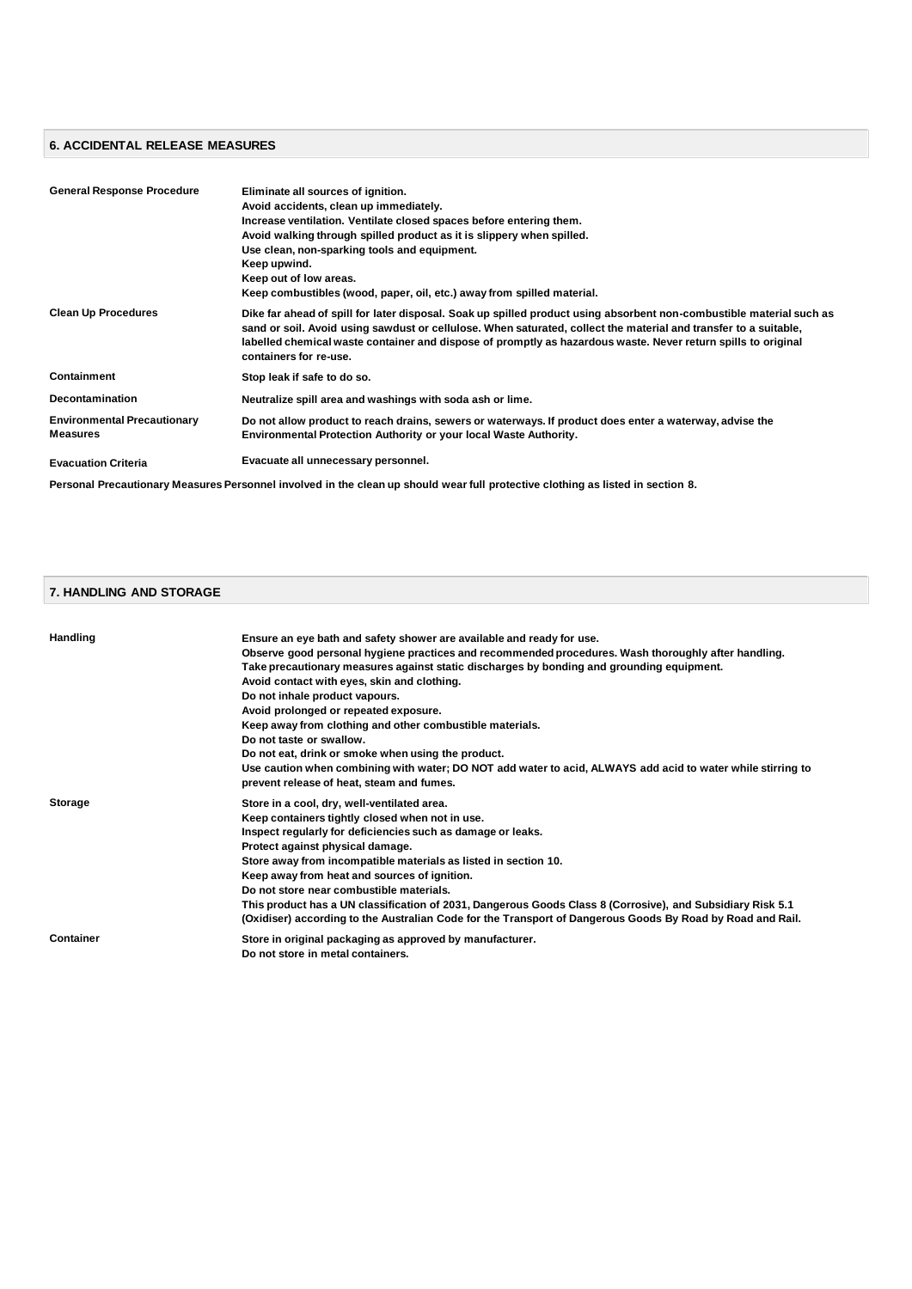# **6. ACCIDENTAL RELEASE MEASURES**

| <b>General Response Procedure</b>                     | Eliminate all sources of ignition.<br>Avoid accidents, clean up immediately.<br>Increase ventilation. Ventilate closed spaces before entering them.<br>Avoid walking through spilled product as it is slippery when spilled.<br>Use clean, non-sparking tools and equipment.<br>Keep upwind.<br>Keep out of low areas.<br>Keep combustibles (wood, paper, oil, etc.) away from spilled material. |
|-------------------------------------------------------|--------------------------------------------------------------------------------------------------------------------------------------------------------------------------------------------------------------------------------------------------------------------------------------------------------------------------------------------------------------------------------------------------|
| <b>Clean Up Procedures</b>                            | Dike far ahead of spill for later disposal. Soak up spilled product using absorbent non-combustible material such as<br>sand or soil. Avoid using sawdust or cellulose. When saturated, collect the material and transfer to a suitable,<br>labelled chemical waste container and dispose of promptly as hazardous waste. Never return spills to original<br>containers for re-use.              |
| Containment                                           | Stop leak if safe to do so.                                                                                                                                                                                                                                                                                                                                                                      |
| <b>Decontamination</b>                                | Neutralize spill area and washings with soda ash or lime.                                                                                                                                                                                                                                                                                                                                        |
| <b>Environmental Precautionary</b><br><b>Measures</b> | Do not allow product to reach drains, sewers or waterways. If product does enter a waterway, advise the<br><b>Environmental Protection Authority or your local Waste Authority.</b>                                                                                                                                                                                                              |
| <b>Evacuation Criteria</b>                            | Evacuate all unnecessary personnel.                                                                                                                                                                                                                                                                                                                                                              |
|                                                       | Personal Precautionary Measures Personnel involved in the clean up should wear full protective clothing as listed in section 8.                                                                                                                                                                                                                                                                  |

#### **7. HANDLING AND STORAGE**

| <b>Handling</b> | Ensure an eye bath and safety shower are available and ready for use.                                       |
|-----------------|-------------------------------------------------------------------------------------------------------------|
|                 | Observe good personal hygiene practices and recommended procedures. Wash thoroughly after handling.         |
|                 | Take precautionary measures against static discharges by bonding and grounding equipment.                   |
|                 | Avoid contact with eyes, skin and clothing.                                                                 |
|                 | Do not inhale product vapours.                                                                              |
|                 | Avoid prolonged or repeated exposure.                                                                       |
|                 | Keep away from clothing and other combustible materials.                                                    |
|                 | Do not taste or swallow.                                                                                    |
|                 | Do not eat, drink or smoke when using the product.                                                          |
|                 | Use caution when combining with water; DO NOT add water to acid, ALWAYS add acid to water while stirring to |
|                 | prevent release of heat, steam and fumes.                                                                   |
| Storage         | Store in a cool, dry, well-ventilated area.                                                                 |
|                 | Keep containers tightly closed when not in use.                                                             |
|                 | Inspect regularly for deficiencies such as damage or leaks.                                                 |
|                 | Protect against physical damage.                                                                            |
|                 | Store away from incompatible materials as listed in section 10.                                             |
|                 | Keep away from heat and sources of ignition.                                                                |
|                 | Do not store near combustible materials.                                                                    |
|                 | This product has a UN classification of 2031, Dangerous Goods Class 8 (Corrosive), and Subsidiary Risk 5.1  |
|                 | (Oxidiser) according to the Australian Code for the Transport of Dangerous Goods By Road by Road and Rail.  |
| Container       | Store in original packaging as approved by manufacturer.                                                    |
|                 | Do not store in metal containers.                                                                           |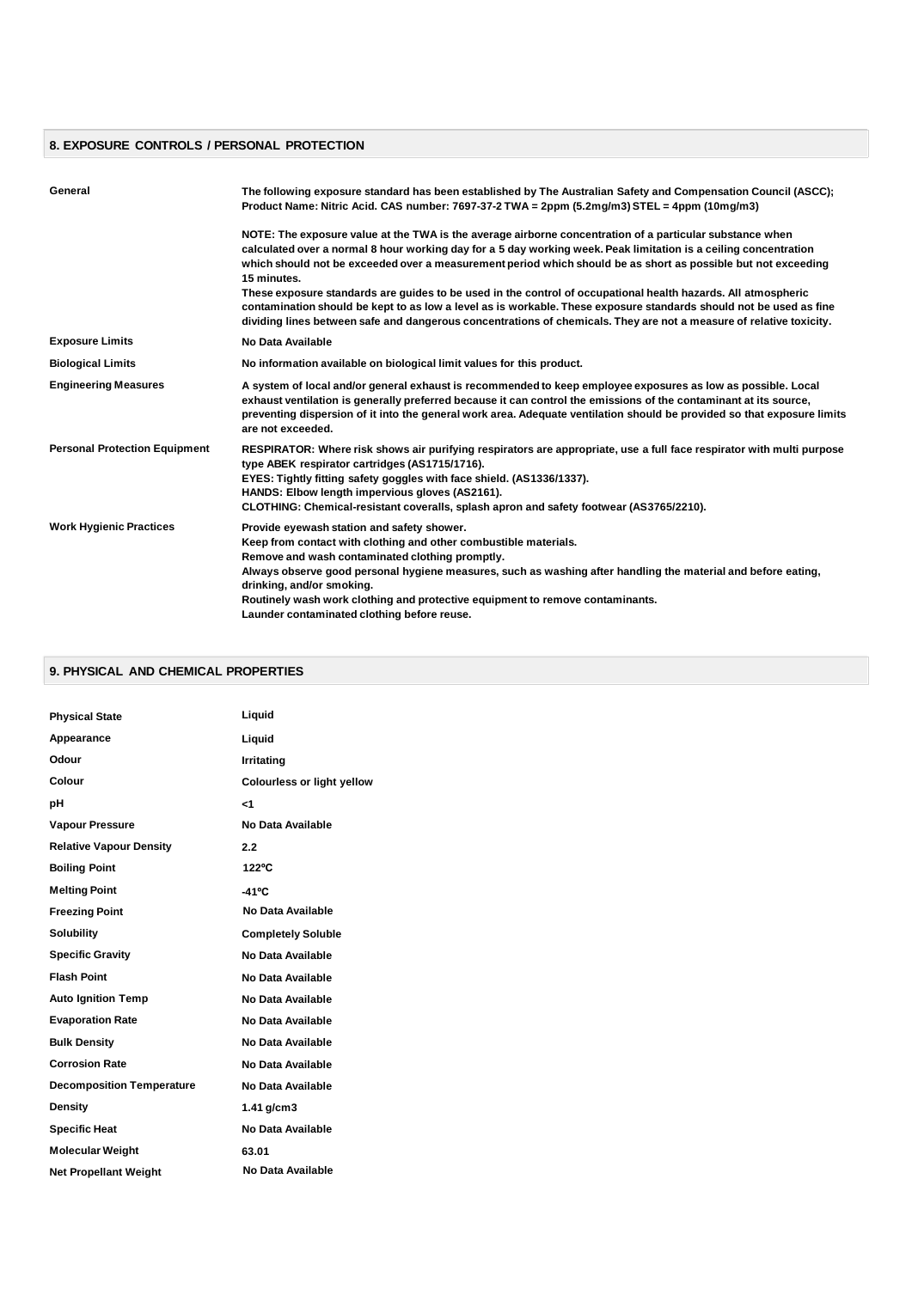#### **8. EXPOSURE CONTROLS / PERSONAL PROTECTION**

| General                              | The following exposure standard has been established by The Australian Safety and Compensation Council (ASCC);<br>Product Name: Nitric Acid. CAS number: 7697-37-2 TWA = 2ppm (5.2mg/m3) STEL = 4ppm (10mg/m3)                                                                                                                                                                                                                                  |
|--------------------------------------|-------------------------------------------------------------------------------------------------------------------------------------------------------------------------------------------------------------------------------------------------------------------------------------------------------------------------------------------------------------------------------------------------------------------------------------------------|
|                                      | NOTE: The exposure value at the TWA is the average airborne concentration of a particular substance when<br>calculated over a normal 8 hour working day for a 5 day working week. Peak limitation is a ceiling concentration<br>which should not be exceeded over a measurement period which should be as short as possible but not exceeding<br>15 minutes.                                                                                    |
|                                      | These exposure standards are quides to be used in the control of occupational health hazards. All atmospheric<br>contamination should be kept to as low a level as is workable. These exposure standards should not be used as fine<br>dividing lines between safe and dangerous concentrations of chemicals. They are not a measure of relative toxicity.                                                                                      |
| <b>Exposure Limits</b>               | No Data Available                                                                                                                                                                                                                                                                                                                                                                                                                               |
| <b>Biological Limits</b>             | No information available on biological limit values for this product.                                                                                                                                                                                                                                                                                                                                                                           |
| <b>Engineering Measures</b>          | A system of local and/or general exhaust is recommended to keep employee exposures as low as possible. Local<br>exhaust ventilation is generally preferred because it can control the emissions of the contaminant at its source,<br>preventing dispersion of it into the general work area. Adequate ventilation should be provided so that exposure limits<br>are not exceeded.                                                               |
| <b>Personal Protection Equipment</b> | RESPIRATOR: Where risk shows air purifying respirators are appropriate, use a full face respirator with multi purpose<br>type ABEK respirator cartridges (AS1715/1716).<br>EYES: Tightly fitting safety goggles with face shield. (AS1336/1337).<br>HANDS: Elbow length impervious gloves (AS2161).<br>CLOTHING: Chemical-resistant coveralls, splash apron and safety footwear (AS3765/2210).                                                  |
| <b>Work Hygienic Practices</b>       | Provide eyewash station and safety shower.<br>Keep from contact with clothing and other combustible materials.<br>Remove and wash contaminated clothing promptly.<br>Always observe good personal hygiene measures, such as washing after handling the material and before eating,<br>drinking, and/or smoking.<br>Routinely wash work clothing and protective equipment to remove contaminants.<br>Launder contaminated clothing before reuse. |

#### **9. PHYSICAL AND CHEMICAL PROPERTIES**

| <b>Physical State</b>            | Liquid                     |
|----------------------------------|----------------------------|
| Appearance                       | Liquid                     |
| Odour                            | Irritating                 |
| Colour                           | Colourless or light yellow |
| рH                               | $<$ 1                      |
| <b>Vapour Pressure</b>           | No Data Available          |
| <b>Relative Vapour Density</b>   | 2.2                        |
| <b>Boiling Point</b>             | 122°C                      |
| <b>Melting Point</b>             | $-41^{\circ}C$             |
| <b>Freezing Point</b>            | No Data Available          |
| <b>Solubility</b>                | <b>Completely Soluble</b>  |
| <b>Specific Gravity</b>          | No Data Available          |
| <b>Flash Point</b>               | No Data Available          |
| <b>Auto Ignition Temp</b>        | No Data Available          |
| <b>Evaporation Rate</b>          | No Data Available          |
| <b>Bulk Density</b>              | No Data Available          |
| <b>Corrosion Rate</b>            | No Data Available          |
| <b>Decomposition Temperature</b> | No Data Available          |
| <b>Density</b>                   | 1.41 g/cm3                 |
| <b>Specific Heat</b>             | No Data Available          |
| <b>Molecular Weight</b>          | 63.01                      |
| <b>Net Propellant Weight</b>     | No Data Available          |
|                                  |                            |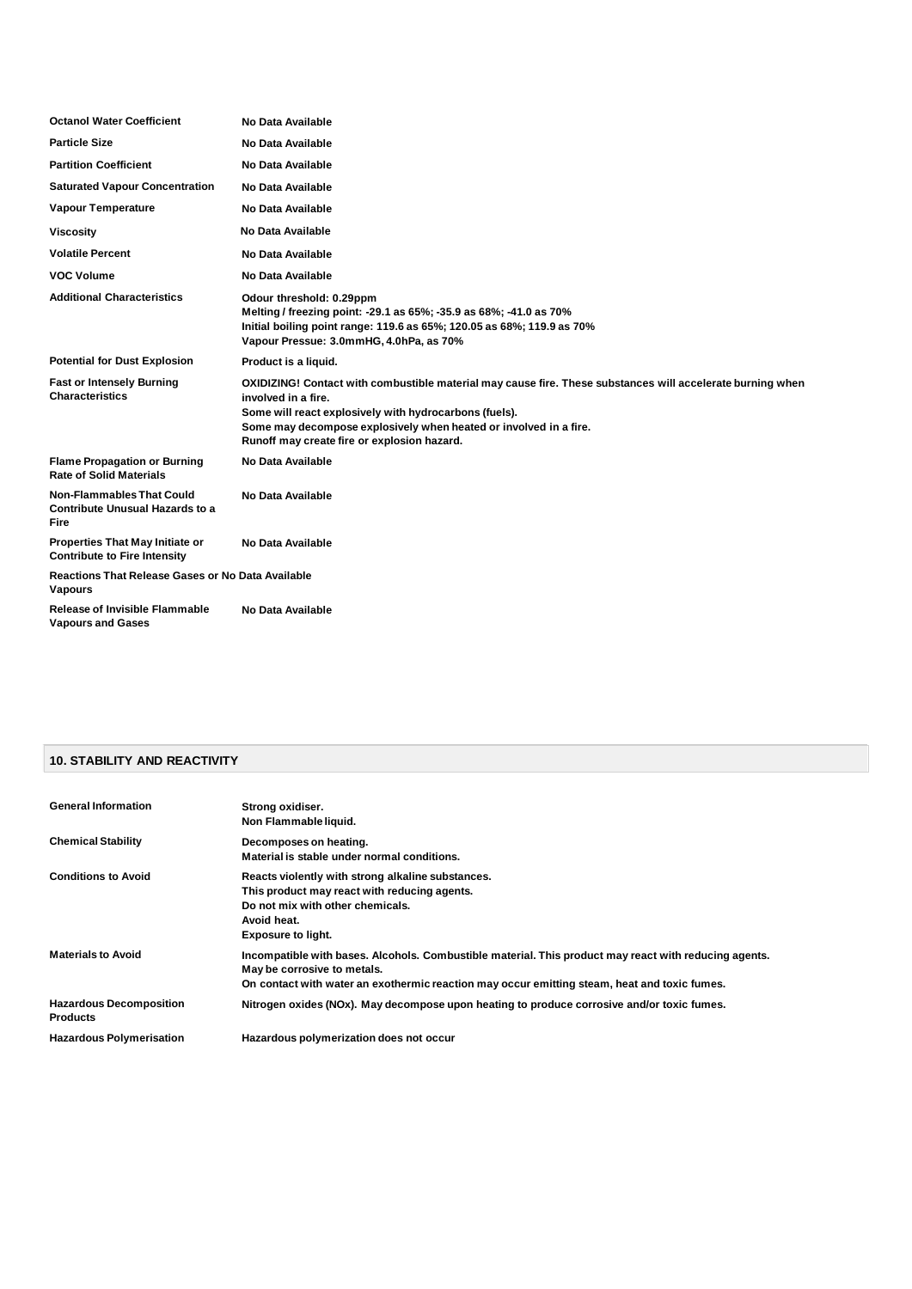| <b>Octanol Water Coefficient</b>                                                   | No Data Available                                                                                                                                                                                                                                                                                               |
|------------------------------------------------------------------------------------|-----------------------------------------------------------------------------------------------------------------------------------------------------------------------------------------------------------------------------------------------------------------------------------------------------------------|
| <b>Particle Size</b>                                                               | No Data Available                                                                                                                                                                                                                                                                                               |
| <b>Partition Coefficient</b>                                                       | No Data Available                                                                                                                                                                                                                                                                                               |
| <b>Saturated Vapour Concentration</b>                                              | No Data Available                                                                                                                                                                                                                                                                                               |
| <b>Vapour Temperature</b>                                                          | No Data Available                                                                                                                                                                                                                                                                                               |
| <b>Viscosity</b>                                                                   | No Data Available                                                                                                                                                                                                                                                                                               |
| <b>Volatile Percent</b>                                                            | No Data Available                                                                                                                                                                                                                                                                                               |
| <b>VOC Volume</b>                                                                  | No Data Available                                                                                                                                                                                                                                                                                               |
| <b>Additional Characteristics</b>                                                  | Odour threshold: 0.29ppm<br>Melting / freezing point: -29.1 as 65%; -35.9 as 68%; -41.0 as 70%<br>Initial boiling point range: 119.6 as 65%; 120.05 as 68%; 119.9 as 70%<br>Vapour Pressue: 3.0mmHG, 4.0hPa, as 70%                                                                                             |
| <b>Potential for Dust Explosion</b>                                                | Product is a liquid.                                                                                                                                                                                                                                                                                            |
| <b>Fast or Intensely Burning</b><br><b>Characteristics</b>                         | OXIDIZING! Contact with combustible material may cause fire. These substances will accelerate burning when<br>involved in a fire.<br>Some will react explosively with hydrocarbons (fuels).<br>Some may decompose explosively when heated or involved in a fire.<br>Runoff may create fire or explosion hazard. |
| <b>Flame Propagation or Burning</b><br><b>Rate of Solid Materials</b>              | No Data Available                                                                                                                                                                                                                                                                                               |
| <b>Non-Flammables That Could</b><br><b>Contribute Unusual Hazards to a</b><br>Fire | No Data Available                                                                                                                                                                                                                                                                                               |
| <b>Properties That May Initiate or</b><br><b>Contribute to Fire Intensity</b>      | No Data Available                                                                                                                                                                                                                                                                                               |
| <b>Reactions That Release Gases or No Data Available</b><br><b>Vapours</b>         |                                                                                                                                                                                                                                                                                                                 |
| <b>Release of Invisible Flammable</b><br><b>Vapours and Gases</b>                  | No Data Available                                                                                                                                                                                                                                                                                               |

# **10. STABILITY AND REACTIVITY**

| <b>General Information</b>                        | Strong oxidiser.<br>Non Flammable liquid.                                                                                                                                                                                            |
|---------------------------------------------------|--------------------------------------------------------------------------------------------------------------------------------------------------------------------------------------------------------------------------------------|
| <b>Chemical Stability</b>                         | Decomposes on heating.<br>Material is stable under normal conditions.                                                                                                                                                                |
| <b>Conditions to Avoid</b>                        | Reacts violently with strong alkaline substances.<br>This product may react with reducing agents.<br>Do not mix with other chemicals.<br>Avoid heat.<br><b>Exposure to light.</b>                                                    |
| <b>Materials to Avoid</b>                         | Incompatible with bases. Alcohols. Combustible material. This product may react with reducing agents.<br>May be corrosive to metals.<br>On contact with water an exothermic reaction may occur emitting steam, heat and toxic fumes. |
| <b>Hazardous Decomposition</b><br><b>Products</b> | Nitrogen oxides (NOx). May decompose upon heating to produce corrosive and/or toxic fumes.                                                                                                                                           |
| <b>Hazardous Polymerisation</b>                   | Hazardous polymerization does not occur                                                                                                                                                                                              |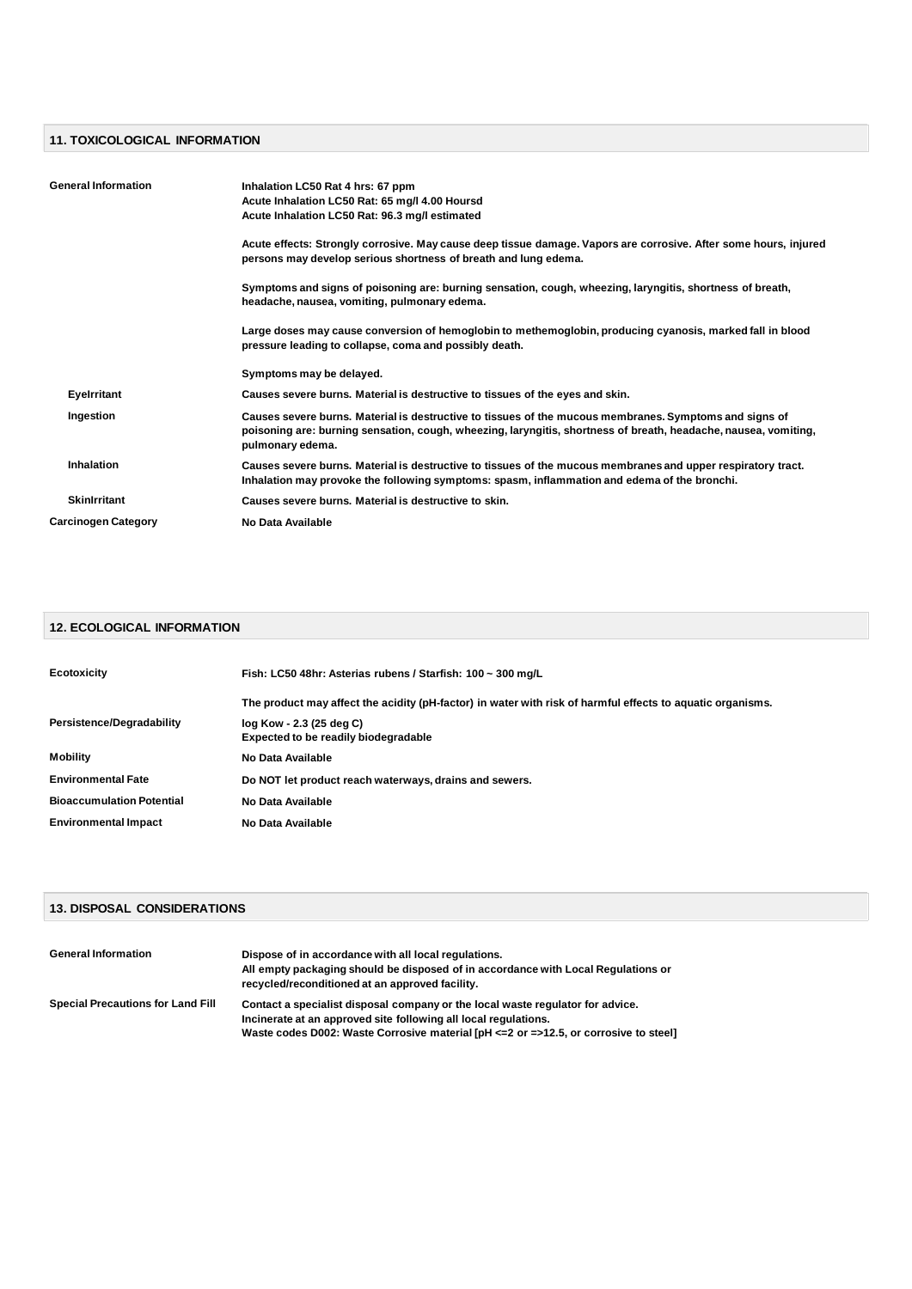# **11. TOXICOLOGICAL INFORMATION**

| <b>General Information</b> | Inhalation LC50 Rat 4 hrs: 67 ppm<br>Acute Inhalation LC50 Rat: 65 mg/l 4.00 Hoursd<br>Acute Inhalation LC50 Rat: 96.3 mg/l estimated                                                                                                         |
|----------------------------|-----------------------------------------------------------------------------------------------------------------------------------------------------------------------------------------------------------------------------------------------|
|                            | Acute effects: Strongly corrosive. May cause deep tissue damage. Vapors are corrosive. After some hours, injured<br>persons may develop serious shortness of breath and lung edema.                                                           |
|                            | Symptoms and signs of poisoning are: burning sensation, cough, wheezing, laryngitis, shortness of breath,<br>headache, nausea, vomiting, pulmonary edema.                                                                                     |
|                            | Large doses may cause conversion of hemoglobin to methemoglobin, producing cyanosis, marked fall in blood<br>pressure leading to collapse, coma and possibly death.                                                                           |
|                            | Symptoms may be delayed.                                                                                                                                                                                                                      |
| Eyelrritant                | Causes severe burns. Material is destructive to tissues of the eyes and skin.                                                                                                                                                                 |
| Ingestion                  | Causes severe burns. Material is destructive to tissues of the mucous membranes. Symptoms and signs of<br>poisoning are: burning sensation, cough, wheezing, laryngitis, shortness of breath, headache, nausea, vomiting,<br>pulmonary edema. |
| Inhalation                 | Causes severe burns. Material is destructive to tissues of the mucous membranes and upper respiratory tract.<br>Inhalation may provoke the following symptoms: spasm, inflammation and edema of the bronchi.                                  |
| <b>Skinlrritant</b>        | Causes severe burns. Material is destructive to skin.                                                                                                                                                                                         |
| <b>Carcinogen Category</b> | No Data Available                                                                                                                                                                                                                             |

## **12. ECOLOGICAL INFORMATION**

| <b>Ecotoxicity</b>               | Fish: LC50 48hr: Asterias rubens / Starfish: 100 ~ 300 mg/L                                                |  |
|----------------------------------|------------------------------------------------------------------------------------------------------------|--|
|                                  | The product may affect the acidity (pH-factor) in water with risk of harmful effects to aguatic organisms. |  |
| Persistence/Degradability        | log Kow - 2.3 (25 deg C)<br><b>Expected to be readily biodegradable</b>                                    |  |
| <b>Mobility</b>                  | No Data Available                                                                                          |  |
| <b>Environmental Fate</b>        | Do NOT let product reach waterways, drains and sewers.                                                     |  |
| <b>Bioaccumulation Potential</b> | No Data Available                                                                                          |  |
| <b>Environmental Impact</b>      | No Data Available                                                                                          |  |

# **13. DISPOSAL CONSIDERATIONS**

| <b>General Information</b>               | Dispose of in accordance with all local regulations.<br>All empty packaging should be disposed of in accordance with Local Regulations or<br>recycled/reconditioned at an approved facility.                                                 |
|------------------------------------------|----------------------------------------------------------------------------------------------------------------------------------------------------------------------------------------------------------------------------------------------|
| <b>Special Precautions for Land Fill</b> | Contact a specialist disposal company or the local waste regulator for advice.<br>Incinerate at an approved site following all local regulations.<br>Waste codes D002: Waste Corrosive material [pH <= 2 or = > 12.5, or corrosive to steel] |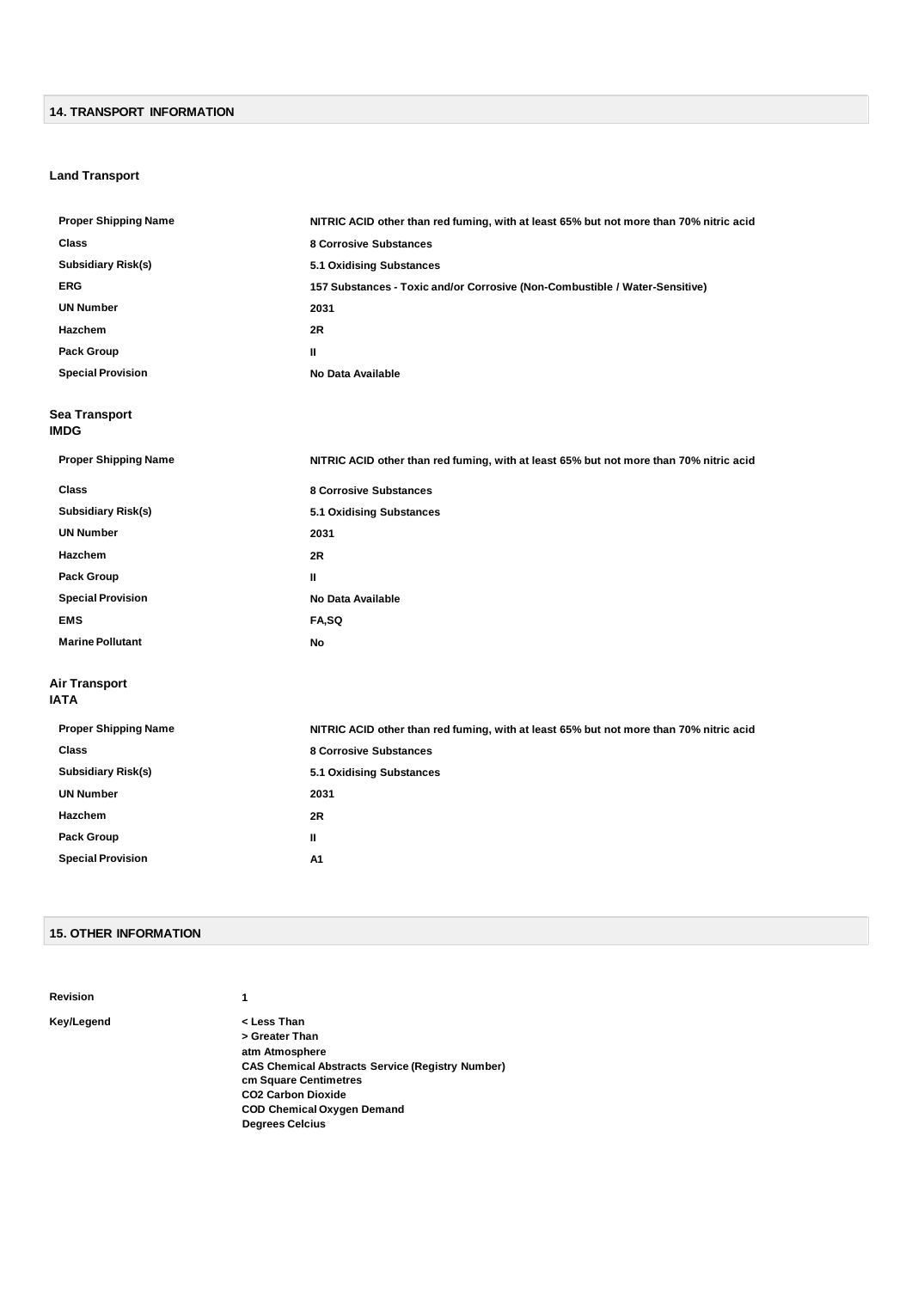#### **14. TRANSPORT INFORMATION**

#### **Land Transport**

| <b>Proper Shipping Name</b>  | NITRIC ACID other than red fuming, with at least 65% but not more than 70% nitric acid |
|------------------------------|----------------------------------------------------------------------------------------|
| <b>Class</b>                 | <b>8 Corrosive Substances</b>                                                          |
| <b>Subsidiary Risk(s)</b>    | <b>5.1 Oxidising Substances</b>                                                        |
| <b>ERG</b>                   | 157 Substances - Toxic and/or Corrosive (Non-Combustible / Water-Sensitive)            |
| <b>UN Number</b>             | 2031                                                                                   |
| Hazchem                      | 2R                                                                                     |
| Pack Group                   | Ш                                                                                      |
| <b>Special Provision</b>     | No Data Available                                                                      |
| Sea Transport<br>IMDG        |                                                                                        |
| <b>Proper Shipping Name</b>  | NITRIC ACID other than red fuming, with at least 65% but not more than 70% nitric acid |
| <b>Class</b>                 | <b>8 Corrosive Substances</b>                                                          |
| <b>Subsidiary Risk(s)</b>    | 5.1 Oxidising Substances                                                               |
| <b>UN Number</b>             | 2031                                                                                   |
| Hazchem                      | 2R                                                                                     |
| Pack Group                   | Ш                                                                                      |
| <b>Special Provision</b>     | No Data Available                                                                      |
| <b>EMS</b>                   | FA,SQ                                                                                  |
| <b>Marine Pollutant</b>      | No                                                                                     |
| <b>Air Transport</b><br>IATA |                                                                                        |
| <b>Proper Shipping Name</b>  | NITRIC ACID other than red fuming, with at least 65% but not more than 70% nitric acid |
| Class                        | <b>8 Corrosive Substances</b>                                                          |
| <b>Subsidiary Risk(s)</b>    | 5.1 Oxidising Substances                                                               |
| <b>UN Number</b>             | 2031                                                                                   |
| Hazchem                      | 2R                                                                                     |
| <b>Pack Group</b>            | Ш                                                                                      |
| <b>Special Provision</b>     | A1                                                                                     |
|                              |                                                                                        |

#### **15. OTHER INFORMATION**

**Revision 1**

**Key/Legend < Less Than > Greater Than atm Atmosphere CAS Chemical Abstracts Service (Registry Number) cm Square Centimetres CO2 Carbon Dioxide COD Chemical Oxygen Demand Degrees Celcius**